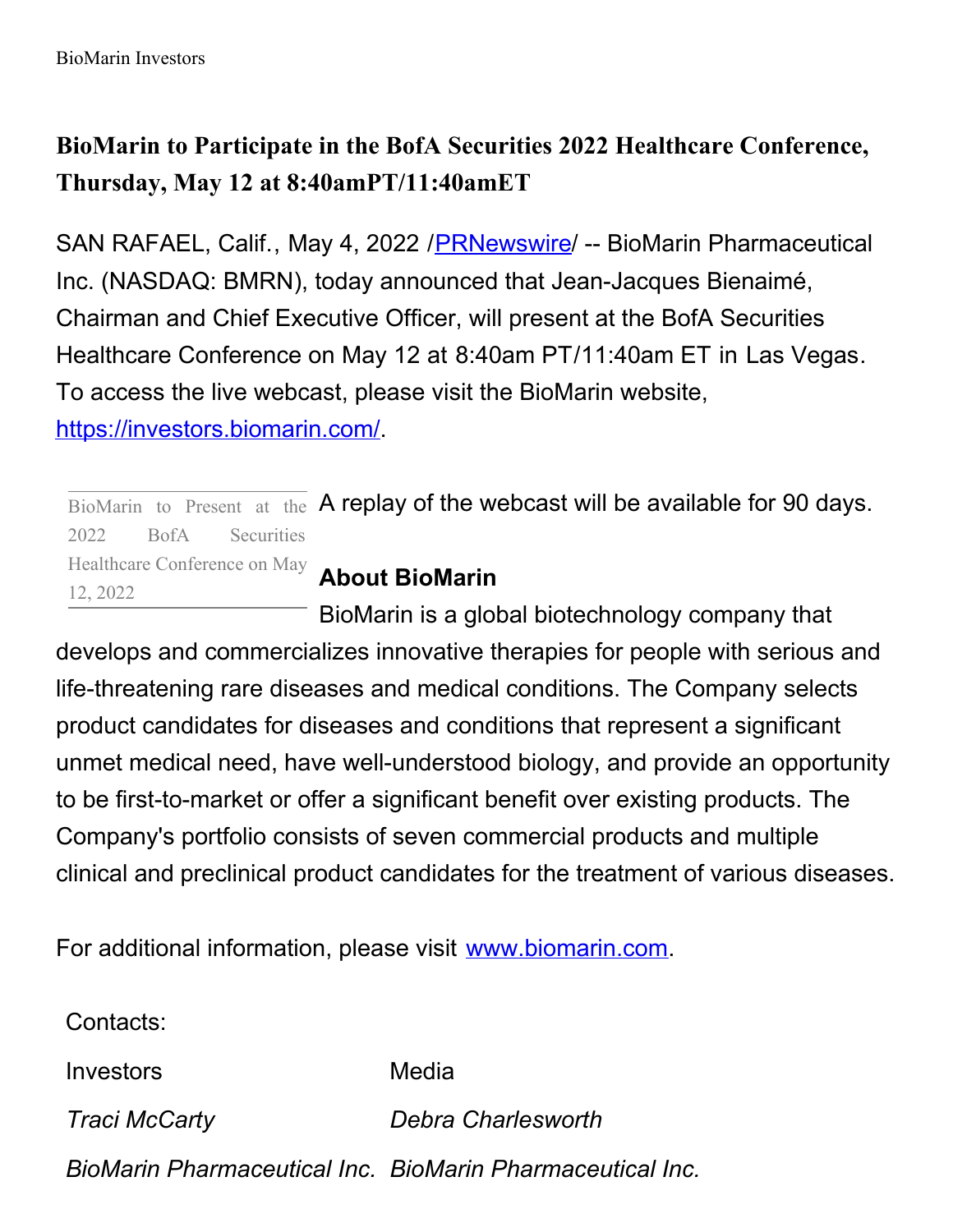## **BioMarin to Participate in the BofA Securities 2022 Healthcare Conference, Thursday, May 12 at 8:40amPT/11:40amET**

SAN RAFAEL, Calif., May 4, 2022 / [PRNewswire](http://www.prnewswire.com/)/ -- BioMarin Pharmaceutical Inc. (NASDAQ: BMRN), today announced that Jean-Jacques Bienaimé, Chairman and Chief Executive Officer, will present at the BofA Securities Healthcare Conference on May 12 at 8:40am PT/11:40am ET in Las Vegas. To access the live webcast, please visit the BioMarin website, [https://investors.biomarin.com/](https://c212.net/c/link/?t=0&l=en&o=3525152-1&h=1671806291&u=https%3A%2F%2Finvestors.biomarin.com%2F&a=https%3A%2F%2Finvestors.biomarin.com%2F).

 $\overline{\text{BiOMarin}}$  to Present at the A replay of the webcast will be available for 90 days. 2022 BofA Securities Healthcare Conference on May

## **About BioMarin**

BioMarin is a global biotechnology company that develops and commercializes innovative therapies for people with serious and life-threatening rare diseases and medical conditions. The Company selects product candidates for diseases and conditions that represent a significant unmet medical need, have well-understood biology, and provide an opportunity to be first-to-market or offer a significant benefit over existing products. The Company's portfolio consists of seven commercial products and multiple clinical and preclinical product candidates for the treatment of various diseases.

For additional information, please visit [www.biomarin.com](https://c212.net/c/link/?t=0&l=en&o=3525152-1&h=3750710149&u=http%3A%2F%2Fwww.biomarin.com%2F&a=www.biomarin.com).

Contacts:

12, 2022

Investors Media

*Traci McCarty Debra Charlesworth*

*BioMarin Pharmaceutical Inc. BioMarin Pharmaceutical Inc.*